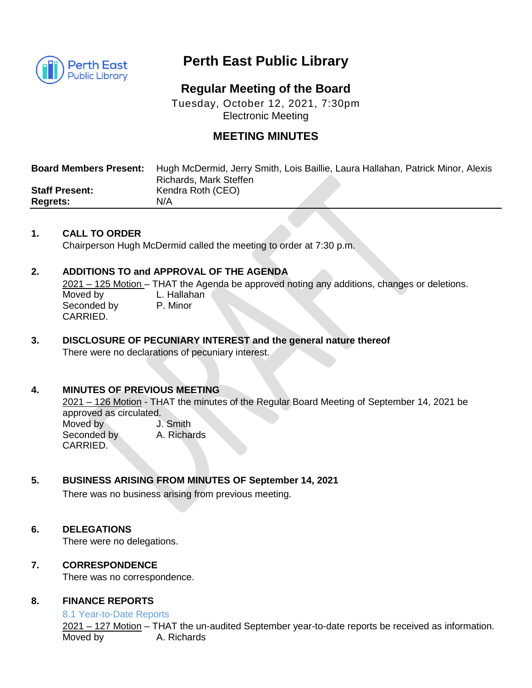

# **Perth East Public Library**

## **Regular Meeting of the Board**

Tuesday, October 12, 2021, 7:30pm Electronic Meeting

### **MEETING MINUTES**

| <b>Board Members Present:</b> | Hugh McDermid, Jerry Smith, Lois Baillie, Laura Hallahan, Patrick Minor, Alexis |
|-------------------------------|---------------------------------------------------------------------------------|
|                               | Richards, Mark Steffen                                                          |
| <b>Staff Present:</b>         | Kendra Roth (CEO)                                                               |
| <b>Regrets:</b>               | N/A                                                                             |

#### **1. CALL TO ORDER**

Chairperson Hugh McDermid called the meeting to order at 7:30 p.m.

#### **2. ADDITIONS TO and APPROVAL OF THE AGENDA**

2021 – 125 Motion – THAT the Agenda be approved noting any additions, changes or deletions. Moved by L. Hallahan Seconded by P. Minor CARRIED.

**3. DISCLOSURE OF PECUNIARY INTEREST and the general nature thereof** There were no declarations of pecuniary interest.

#### **4. MINUTES OF PREVIOUS MEETING**

2021 – 126 Motion - THAT the minutes of the Regular Board Meeting of September 14, 2021 be approved as circulated. Moved by **J.** Smith Seconded by A. Richards CARRIED.

#### **5. BUSINESS ARISING FROM MINUTES OF September 14, 2021**

There was no business arising from previous meeting.

#### **6. DELEGATIONS**

There were no delegations.

#### **7. CORRESPONDENCE**

There was no correspondence.

#### **8. FINANCE REPORTS**

#### 8.1 Year-to-Date Reports

2021 – 127 Motion – THAT the un-audited September year-to-date reports be received as information. Moved by **A. Richards**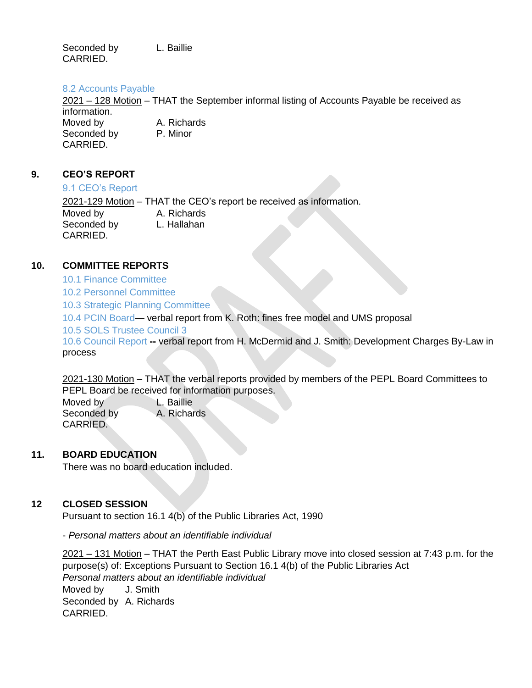Seconded by L. Baillie CARRIED.

#### 8.2 Accounts Payable

2021 – 128 Motion – THAT the September informal listing of Accounts Payable be received as information. Moved by A. Richards Seconded by P. Minor CARRIED.

#### **9. CEO'S REPORT**

#### 9.1 CEO's Report

2021-129 Motion - THAT the CEO's report be received as information. Moved by A. Richards Seconded by L. Hallahan CARRIED.

#### **10. COMMITTEE REPORTS**

- 10.1 Finance Committee
- 10.2 Personnel Committee
- 10.3 Strategic Planning Committee

10.4 PCIN Board— verbal report from K. Roth: fines free model and UMS proposal

10.5 SOLS Trustee Council 3

10.6 Council Report **--** verbal report from H. McDermid and J. Smith: Development Charges By-Law in process

2021-130 Motion – THAT the verbal reports provided by members of the PEPL Board Committees to PEPL Board be received for information purposes.

Moved by **L. Baillie** Seconded by A. Richards CARRIED.

#### **11. BOARD EDUCATION**

There was no board education included.

#### **12 CLOSED SESSION**

Pursuant to section 16.1 4(b) of the Public Libraries Act, 1990

- *Personal matters about an identifiable individual*

2021 – 131 Motion – THAT the Perth East Public Library move into closed session at 7:43 p.m. for the purpose(s) of: Exceptions Pursuant to Section 16.1 4(b) of the Public Libraries Act *Personal matters about an identifiable individual*  Moved by **J. Smith** Seconded by A. Richards CARRIED.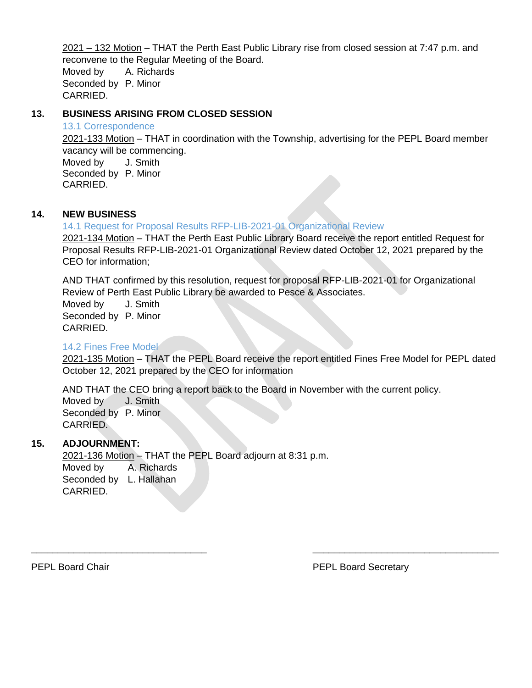2021 – 132 Motion – THAT the Perth East Public Library rise from closed session at 7:47 p.m. and reconvene to the Regular Meeting of the Board.

Moved by A. Richards Seconded by P. Minor CARRIED.

#### **13. BUSINESS ARISING FROM CLOSED SESSION**

#### 13.1 Correspondence

2021-133 Motion – THAT in coordination with the Township, advertising for the PEPL Board member vacancy will be commencing.

Moved by **J. Smith** Seconded by P. Minor CARRIED.

#### **14. NEW BUSINESS**

14.1 Request for Proposal Results RFP-LIB-2021-01 Organizational Review 2021-134 Motion – THAT the Perth East Public Library Board receive the report entitled Request for Proposal Results RFP-LIB-2021-01 Organizational Review dated October 12, 2021 prepared by the CEO for information;

AND THAT confirmed by this resolution, request for proposal RFP-LIB-2021-01 for Organizational Review of Perth East Public Library be awarded to Pesce & Associates.

Moved by **J. Smith** Seconded by P. Minor CARRIED.

#### 14.2 Fines Free Model

2021-135 Motion – THAT the PEPL Board receive the report entitled Fines Free Model for PEPL dated October 12, 2021 prepared by the CEO for information

AND THAT the CEO bring a report back to the Board in November with the current policy. Moved by **J. Smith** Seconded by P. Minor CARRIED.

\_\_\_\_\_\_\_\_\_\_\_\_\_\_\_\_\_\_\_\_\_\_\_\_\_\_\_\_\_\_\_\_\_ \_\_\_\_\_\_\_\_\_\_\_\_\_\_\_\_\_\_\_\_\_\_\_\_\_\_\_\_\_\_\_\_\_\_\_

#### **15. ADJOURNMENT:**

2021-136 Motion – THAT the PEPL Board adjourn at 8:31 p.m. Moved by A. Richards Seconded by L. Hallahan CARRIED.

PEPL Board Chair **PEPL Board Secretary**